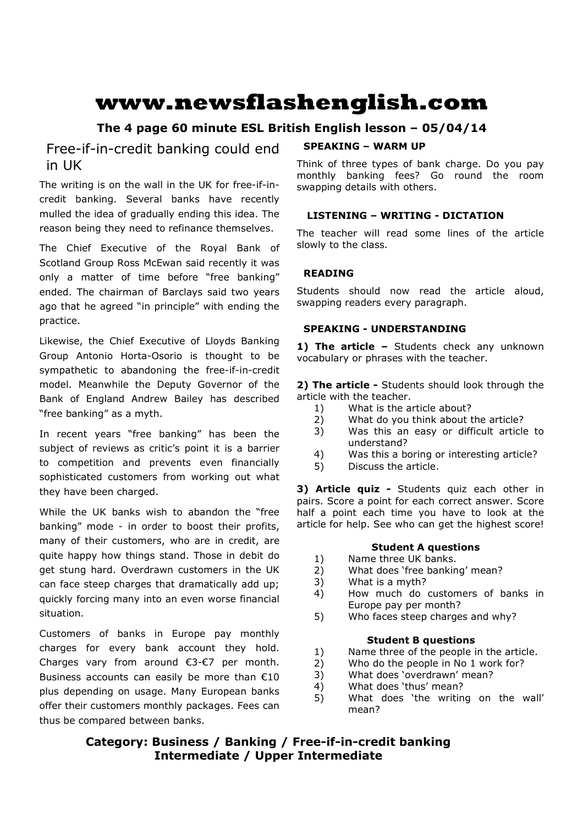# **www.newsflashenglish.com**

# **The 4 page 60 minute ESL British English lesson – 05/04/14**

# Free-if-in-credit banking could end in UK

The writing is on the wall in the UK for free-if-incredit banking. Several banks have recently mulled the idea of gradually ending this idea. The reason being they need to refinance themselves.

The Chief Executive of the Royal Bank of Scotland Group Ross McEwan said recently it was only a matter of time before "free banking" ended. The chairman of Barclays said two years ago that he agreed "in principle" with ending the practice.

Likewise, the Chief Executive of Lloyds Banking Group Antonio Horta-Osorio is thought to be sympathetic to abandoning the free-if-in-credit model. Meanwhile the Deputy Governor of the Bank of England Andrew Bailey has described "free banking" as a myth.

In recent years "free banking" has been the subject of reviews as critic's point it is a barrier to competition and prevents even financially sophisticated customers from working out what they have been charged.

While the UK banks wish to abandon the "free banking" mode - in order to boost their profits, many of their customers, who are in credit, are quite happy how things stand. Those in debit do get stung hard. Overdrawn customers in the UK can face steep charges that dramatically add up; quickly forcing many into an even worse financial situation.

Customers of banks in Europe pay monthly charges for every bank account they hold. Charges vary from around €3-€7 per month. Business accounts can easily be more than €10 plus depending on usage. Many European banks offer their customers monthly packages. Fees can thus be compared between banks.

#### **SPEAKING – WARM UP**

Think of three types of bank charge. Do you pay monthly banking fees? Go round the room swapping details with others.

### **LISTENING – WRITING - DICTATION**

The teacher will read some lines of the article slowly to the class.

### **READING**

Students should now read the article aloud, swapping readers every paragraph.

#### **SPEAKING - UNDERSTANDING**

1) The article - Students check any unknown vocabulary or phrases with the teacher.

**2) The article -** Students should look through the article with the teacher.

- 1) What is the article about?
- 2) What do you think about the article?
- 3) Was this an easy or difficult article to understand?
- 4) Was this a boring or interesting article?<br>5) Discuss the article.
- 5) Discuss the article.

**3) Article quiz -** Students quiz each other in pairs. Score a point for each correct answer. Score half a point each time you have to look at the article for help. See who can get the highest score!

## **Student A questions**

- 1) Name three UK banks.
- 2) What does 'free banking' mean?
- 3) What is a myth?
- 4) How much do customers of banks in Europe pay per month?
- 5) Who faces steep charges and why?

#### **Student B questions**

- 1) Name three of the people in the article.
- 2) Who do the people in No 1 work for?
- 3) What does 'overdrawn' mean?
- 4) What does 'thus' mean?
- 5) What does 'the writing on the wall' mean?

# **Category: Business / Banking / Free-if-in-credit banking Intermediate / Upper Intermediate**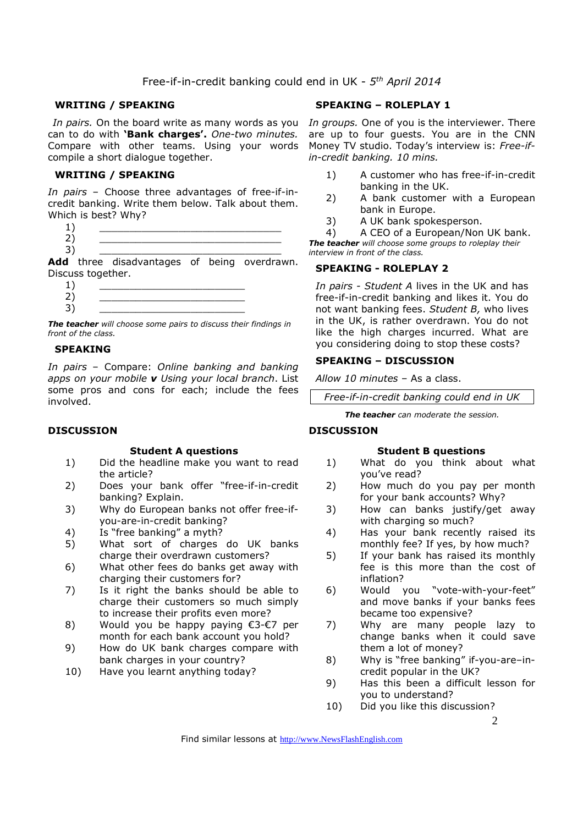#### **WRITING / SPEAKING**

*In pairs.* On the board write as many words as you *In groups.* One of you is the interviewer. There can to do with **'Bank charges'.** *One-two minutes.*  Compare with other teams. Using your words compile a short dialogue together.

#### **WRITING / SPEAKING**

*In pairs* – Choose three advantages of free-if-incredit banking. Write them below. Talk about them. Which is best? Why?

 $1)$   $\qquad \qquad$ 2) \_\_\_\_\_\_\_\_\_\_\_\_\_\_\_\_\_\_\_\_\_\_\_\_\_\_\_\_\_\_ 3) \_\_\_\_\_\_\_\_\_\_\_\_\_\_\_\_\_\_\_\_\_\_\_\_\_\_\_\_\_\_

Add three disadvantages of being overdrawn. Discuss together.

 $1)$   $\qquad \qquad$ 2) \_\_\_\_\_\_\_\_\_\_\_\_\_\_\_\_\_\_\_\_\_\_\_\_ 3) \_\_\_\_\_\_\_\_\_\_\_\_\_\_\_\_\_\_\_\_\_\_\_\_

*The teacher will choose some pairs to discuss their findings in front of the class.* 

#### **SPEAKING**

*In pairs* – Compare: *Online banking and banking apps on your mobile v Using your local branch*. List some pros and cons for each; include the fees involved.

#### **DISCUSSION**

#### **Student A questions**

- 1) Did the headline make you want to read the article?
- 2) Does your bank offer "free-if-in-credit banking? Explain.
- 3) Why do European banks not offer free-ifyou-are-in-credit banking?
- 4) Is "free banking" a myth?
- 5) What sort of charges do UK banks charge their overdrawn customers?
- 6) What other fees do banks get away with charging their customers for?
- 7) Is it right the banks should be able to charge their customers so much simply to increase their profits even more?
- 8) Would you be happy paying €3-€7 per month for each bank account you hold?
- 9) How do UK bank charges compare with bank charges in your country?
- 10) Have you learnt anything today?

#### **SPEAKING – ROLEPLAY 1**

are up to four guests. You are in the CNN Money TV studio. Today's interview is: *Free-ifin-credit banking. 10 mins.* 

- 1) A customer who has free-if-in-credit banking in the UK.
- 2) A bank customer with a European bank in Europe.
- 3) A UK bank spokesperson.
- 4) A CEO of a European/Non UK bank.

*The teacher will choose some groups to roleplay their interview in front of the class.* 

#### **SPEAKING - ROLEPLAY 2**

*In pairs - Student A* lives in the UK and has free-if-in-credit banking and likes it. You do not want banking fees. *Student B,* who lives in the UK, is rather overdrawn. You do not like the high charges incurred. What are you considering doing to stop these costs?

#### **SPEAKING – DISCUSSION**

*Allow 10 minutes* – As a class.

*Free-if-in-credit banking could end in UK* 

*The teacher can moderate the session.*

#### **DISCUSSION**

#### **Student B questions**

- 1) What do you think about what you've read?
- 2) How much do you pay per month for your bank accounts? Why?
- 3) How can banks justify/get away with charging so much?
- 4) Has your bank recently raised its monthly fee? If yes, by how much?
- 5) If your bank has raised its monthly fee is this more than the cost of inflation?
- 6) Would you "vote-with-your-feet" and move banks if your banks fees became too expensive?
- 7) Why are many people lazy to change banks when it could save them a lot of money?
- 8) Why is "free banking" if-you-are-incredit popular in the UK?
- 9) Has this been a difficult lesson for you to understand?
- 10) Did you like this discussion?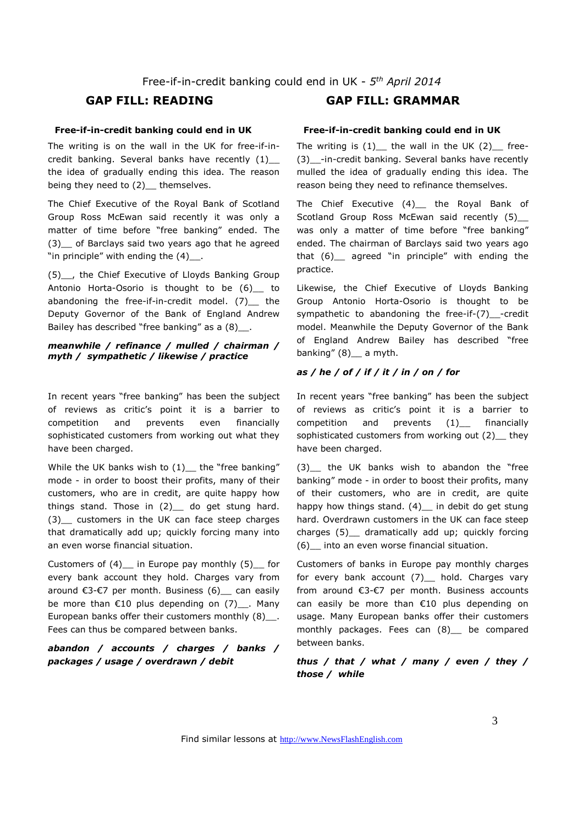#### **Free-if-in-credit banking could end in UK**

The writing is on the wall in the UK for free-if-incredit banking. Several banks have recently (1) the idea of gradually ending this idea. The reason being they need to (2)\_ themselves.

The Chief Executive of the Royal Bank of Scotland Group Ross McEwan said recently it was only a matter of time before "free banking" ended. The (3)\_\_ of Barclays said two years ago that he agreed "in principle" with ending the  $(4)$ .

(5)\_\_, the Chief Executive of Lloyds Banking Group Antonio Horta-Osorio is thought to be (6) to abandoning the free-if-in-credit model. (7) the Deputy Governor of the Bank of England Andrew Bailey has described "free banking" as a (8)\_\_.

#### *meanwhile / refinance / mulled / chairman / myth / sympathetic / likewise / practice*

In recent years "free banking" has been the subject of reviews as critic's point it is a barrier to competition and prevents even financially sophisticated customers from working out what they have been charged.

While the UK banks wish to  $(1)$  the "free banking" mode - in order to boost their profits, many of their customers, who are in credit, are quite happy how things stand. Those in  $(2)$  do get stung hard. (3)\_\_ customers in the UK can face steep charges that dramatically add up; quickly forcing many into an even worse financial situation.

Customers of (4) in Europe pay monthly (5) for every bank account they hold. Charges vary from around €3-€7 per month. Business (6) can easily be more than  $E10$  plus depending on (7)\_\_. Many European banks offer their customers monthly (8) . Fees can thus be compared between banks.

#### *abandon / accounts / charges / banks / packages / usage / overdrawn / debit*

# **GAP FILL: READING GAP FILL: GRAMMAR**

#### **Free-if-in-credit banking could end in UK**

The writing is  $(1)$  the wall in the UK  $(2)$  free-(3)\_\_-in-credit banking. Several banks have recently mulled the idea of gradually ending this idea. The reason being they need to refinance themselves.

The Chief Executive (4)\_ the Royal Bank of Scotland Group Ross McEwan said recently (5) was only a matter of time before "free banking" ended. The chairman of Barclays said two years ago that (6)\_\_ agreed "in principle" with ending the practice.

Likewise, the Chief Executive of Lloyds Banking Group Antonio Horta-Osorio is thought to be sympathetic to abandoning the free-if-(7)\_-credit model. Meanwhile the Deputy Governor of the Bank of England Andrew Bailey has described "free banking" (8) a myth.

#### *as / he / of / if / it / in / on / for*

In recent years "free banking" has been the subject of reviews as critic's point it is a barrier to competition and prevents (1)\_\_ financially sophisticated customers from working out (2) they have been charged.

(3) the UK banks wish to abandon the "free banking" mode - in order to boost their profits, many of their customers, who are in credit, are quite happy how things stand. (4)\_ in debit do get stung hard. Overdrawn customers in the UK can face steep charges (5)\_\_ dramatically add up; quickly forcing (6)\_\_ into an even worse financial situation.

Customers of banks in Europe pay monthly charges for every bank account (7) hold. Charges vary from around €3-€7 per month. Business accounts can easily be more than €10 plus depending on usage. Many European banks offer their customers monthly packages. Fees can (8)\_\_ be compared between banks.

#### *thus / that / what / many / even / they / those / while*